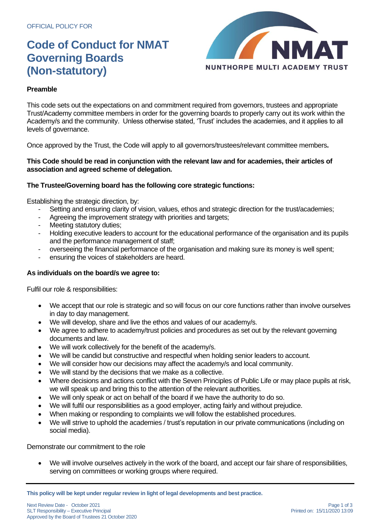# **Code of Conduct for NMAT Governing Boards (Non-statutory)**



### **Preamble**

This code sets out the expectations on and commitment required from governors, trustees and appropriate Trust/Academy committee members in order for the governing boards to properly carry out its work within the Academy/s and the community. Unless otherwise stated, 'Trust' includes the academies, and it applies to all levels of governance.

Once approved by the Trust, the Code will apply to all governors/trustees/relevant committee members**.** 

#### **This Code should be read in conjunction with the relevant law and for academies, their articles of association and agreed scheme of delegation.**

#### **The Trustee/Governing board has the following core strategic functions:**

Establishing the strategic direction, by:

- Setting and ensuring clarity of vision, values, ethos and strategic direction for the trust/academies;
- Agreeing the improvement strategy with priorities and targets;
- Meeting statutory duties;
- Holding executive leaders to account for the educational performance of the organisation and its pupils and the performance management of staff;
- overseeing the financial performance of the organisation and making sure its money is well spent;
- ensuring the voices of stakeholders are heard.

### **As individuals on the board/s we agree to:**

Fulfil our role & responsibilities:

- We accept that our role is strategic and so will focus on our core functions rather than involve ourselves in day to day management.
- We will develop, share and live the ethos and values of our academy/s.
- We agree to adhere to academy/trust policies and procedures as set out by the relevant governing documents and law.
- We will work collectively for the benefit of the academy/s.
- We will be candid but constructive and respectful when holding senior leaders to account.
- We will consider how our decisions may affect the academy/s and local community.
- We will stand by the decisions that we make as a collective.
- Where decisions and actions conflict with the Seven Principles of Public Life or may place pupils at risk, we will speak up and bring this to the attention of the relevant authorities.
- We will only speak or act on behalf of the board if we have the authority to do so.
- We will fulfil our responsibilities as a good employer, acting fairly and without prejudice.
- When making or responding to complaints we will follow the established procedures.
- We will strive to uphold the academies / trust's reputation in our private communications (including on social media).

Demonstrate our commitment to the role

• We will involve ourselves actively in the work of the board, and accept our fair share of responsibilities, serving on committees or working groups where required.

**This policy will be kept under regular review in light of legal developments and best practice.**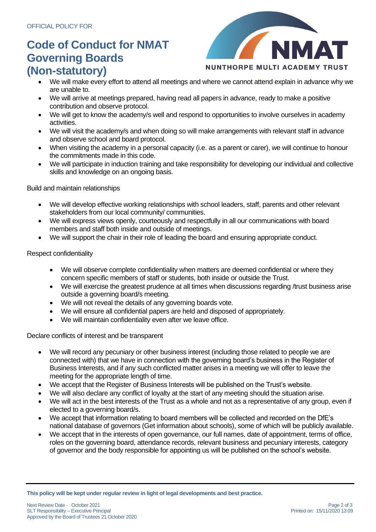# **Code of Conduct for NMAT Governing Boards (Non-statutory)**



- We will make every effort to attend all meetings and where we cannot attend explain in advance why we are unable to.
- We will arrive at meetings prepared, having read all papers in advance, ready to make a positive contribution and observe protocol.
- We will get to know the academy/s well and respond to opportunities to involve ourselves in academy activities.
- We will visit the academy/s and when doing so will make arrangements with relevant staff in advance and observe school and board protocol.
- When visiting the academy in a personal capacity (i.e. as a parent or carer), we will continue to honour the commitments made in this code.
- We will participate in induction training and take responsibility for developing our individual and collective skills and knowledge on an ongoing basis.

#### Build and maintain relationships

- We will develop effective working relationships with school leaders, staff, parents and other relevant stakeholders from our local community/ communities.
- We will express views openly, courteously and respectfully in all our communications with board members and staff both inside and outside of meetings.
- We will support the chair in their role of leading the board and ensuring appropriate conduct.

#### Respect confidentiality

- We will observe complete confidentiality when matters are deemed confidential or where they concern specific members of staff or students, both inside or outside the Trust.
- We will exercise the greatest prudence at all times when discussions regarding /trust business arise outside a governing board/s meeting.
- We will not reveal the details of any governing boards vote.
- We will ensure all confidential papers are held and disposed of appropriately.
- We will maintain confidentiality even after we leave office.

Declare conflicts of interest and be transparent

- We will record any pecuniary or other business interest (including those related to people we are connected with) that we have in connection with the governing board's business in the Register of Business Interests, and if any such conflicted matter arises in a meeting we will offer to leave the meeting for the appropriate length of time.
- We accept that the Register of Business Interests will be published on the Trust's website.
- We will also declare any conflict of loyalty at the start of any meeting should the situation arise.
- We will act in the best interests of the Trust as a whole and not as a representative of any group, even if elected to a governing board/s.
- We accept that information relating to board members will be collected and recorded on the DfE's national database of governors (Get information about schools), some of which will be publicly available.
- We accept that in the interests of open governance, our full names, date of appointment, terms of office, roles on the governing board, attendance records, relevant business and pecuniary interests, category of governor and the body responsible for appointing us will be published on the school's website.

**This policy will be kept under regular review in light of legal developments and best practice.**